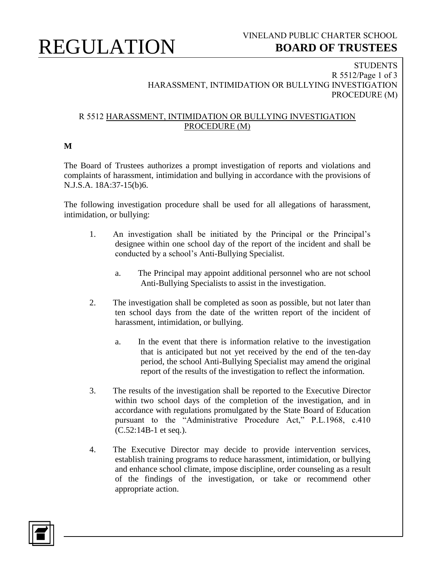# REGULATION

### **STUDENTS** R 5512/Page 1 of 3 HARASSMENT, INTIMIDATION OR BULLYING INVESTIGATION PROCEDURE (M)

### R 5512 HARASSMENT, INTIMIDATION OR BULLYING INVESTIGATION PROCEDURE (M)

### **M**

The Board of Trustees authorizes a prompt investigation of reports and violations and complaints of harassment, intimidation and bullying in accordance with the provisions of N.J.S.A. 18A:37-15(b)6.

The following investigation procedure shall be used for all allegations of harassment, intimidation, or bullying:

- 1. An investigation shall be initiated by the Principal or the Principal's designee within one school day of the report of the incident and shall be conducted by a school's Anti-Bullying Specialist.
	- a. The Principal may appoint additional personnel who are not school Anti-Bullying Specialists to assist in the investigation.
- 2. The investigation shall be completed as soon as possible, but not later than ten school days from the date of the written report of the incident of harassment, intimidation, or bullying.
	- a. In the event that there is information relative to the investigation that is anticipated but not yet received by the end of the ten-day period, the school Anti-Bullying Specialist may amend the original report of the results of the investigation to reflect the information.
- 3. The results of the investigation shall be reported to the Executive Director within two school days of the completion of the investigation, and in accordance with regulations promulgated by the State Board of Education pursuant to the "Administrative Procedure Act," P.L.1968, c.410 (C.52:14B-1 et seq.).
- 4. The Executive Director may decide to provide intervention services, establish training programs to reduce harassment, intimidation, or bullying and enhance school climate, impose discipline, order counseling as a result of the findings of the investigation, or take or recommend other appropriate action.

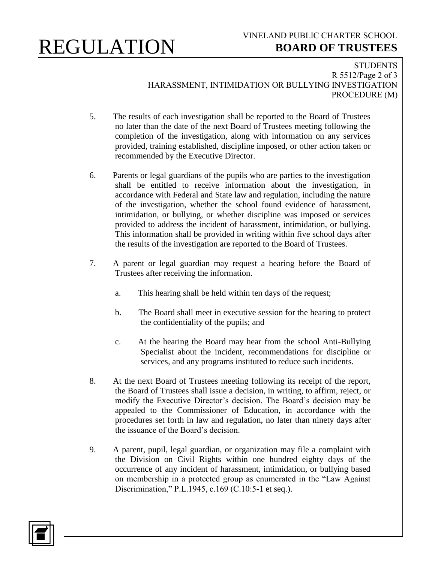# REGULATION

## VINELAND PUBLIC CHARTER SCHOOL  **BOARD OF TRUSTEES**

**STUDENTS** R 5512/Page 2 of 3 HARASSMENT, INTIMIDATION OR BULLYING INVESTIGATION PROCEDURE (M)

- 5. The results of each investigation shall be reported to the Board of Trustees no later than the date of the next Board of Trustees meeting following the completion of the investigation, along with information on any services provided, training established, discipline imposed, or other action taken or recommended by the Executive Director.
- 6. Parents or legal guardians of the pupils who are parties to the investigation shall be entitled to receive information about the investigation, in accordance with Federal and State law and regulation, including the nature of the investigation, whether the school found evidence of harassment, intimidation, or bullying, or whether discipline was imposed or services provided to address the incident of harassment, intimidation, or bullying. This information shall be provided in writing within five school days after the results of the investigation are reported to the Board of Trustees.
- 7. A parent or legal guardian may request a hearing before the Board of Trustees after receiving the information.
	- a. This hearing shall be held within ten days of the request;
	- b. The Board shall meet in executive session for the hearing to protect the confidentiality of the pupils; and
	- c. At the hearing the Board may hear from the school Anti-Bullying Specialist about the incident, recommendations for discipline or services, and any programs instituted to reduce such incidents.
- 8. At the next Board of Trustees meeting following its receipt of the report, the Board of Trustees shall issue a decision, in writing, to affirm, reject, or modify the Executive Director's decision. The Board's decision may be appealed to the Commissioner of Education, in accordance with the procedures set forth in law and regulation, no later than ninety days after the issuance of the Board's decision.
- 9. A parent, pupil, legal guardian, or organization may file a complaint with the Division on Civil Rights within one hundred eighty days of the occurrence of any incident of harassment, intimidation, or bullying based on membership in a protected group as enumerated in the "Law Against Discrimination," P.L.1945, c.169 (C.10:5-1 et seq.).